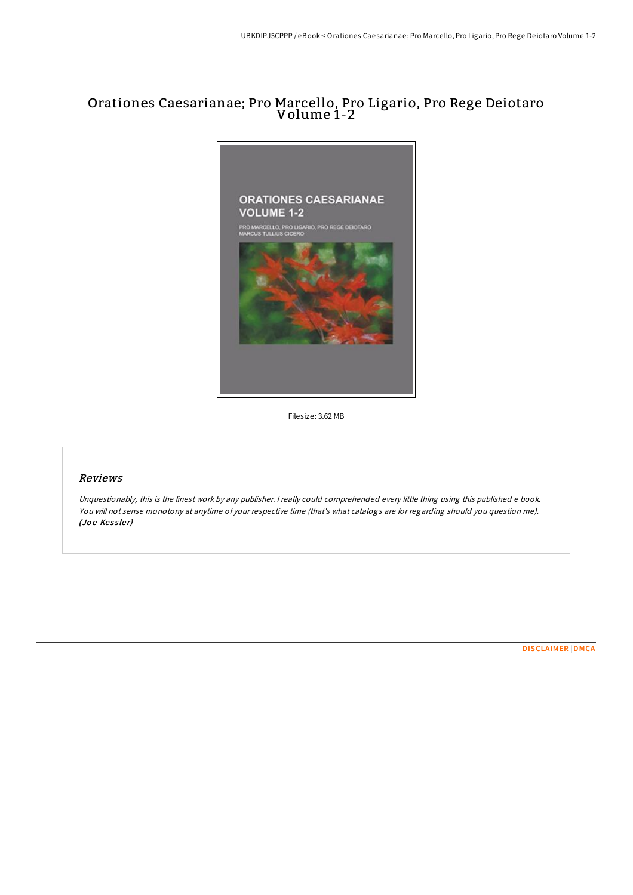# Orationes Caesarianae; Pro Marcello, Pro Ligario, Pro Rege Deiotaro Volume 1-2



Filesize: 3.62 MB

## Reviews

Unquestionably, this is the finest work by any publisher. <sup>I</sup> really could comprehended every little thing using this published <sup>e</sup> book. You will not sense monotony at anytime of your respective time (that's what catalogs are for regarding should you question me). (Joe Kessler)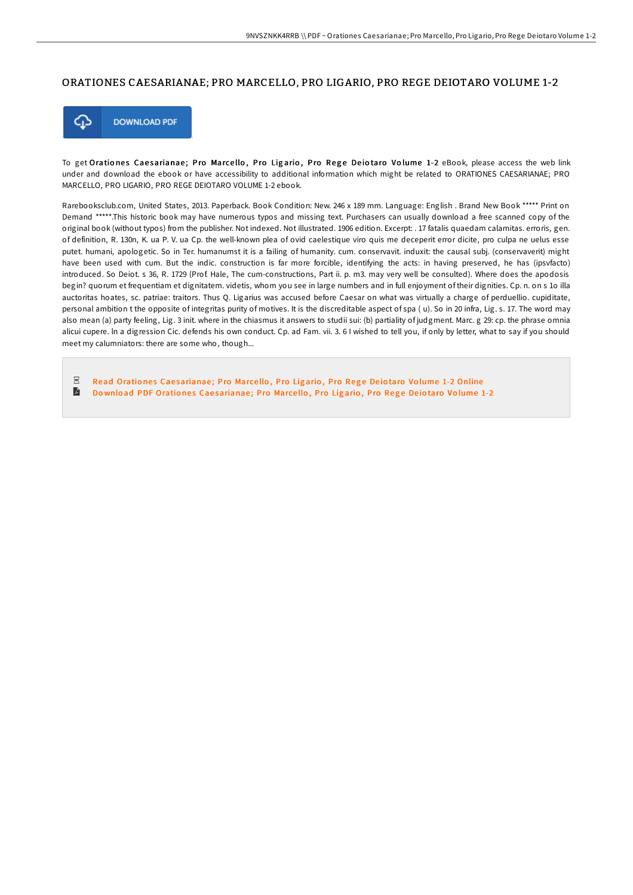### ORATIONES CAESARIANAE; PRO MARCELLO, PRO LIGARIO, PRO REGE DEIOTARO VOLUME 1-2



To get Orationes Caesarianae; Pro Marcello, Pro Ligario, Pro Rege Deiotaro Volume 1-2 eBook, please access the web link under and download the ebook or have accessibility to additional information which might be related to ORATIONES CAESARIANAE; PRO MARCELLO, PRO LIGARIO, PRO REGE DEIOTARO VOLUME 1-2 ebook.

Rarebooksclub.com, United States, 2013. Paperback. Book Condition: New. 246 x 189 mm. Language: English . Brand New Book \*\*\*\*\* Print on Demand \*\*\*\*\*.This historic book may have numerous typos and missing text. Purchasers can usually download a free scanned copy of the original book (without typos) from the publisher. Not indexed. Not illustrated. 1906 edition. Excerpt: . 17 fatalis quaedam calamitas. erroris, gen. of definition, R. 130n, K. ua P. V. ua Cp. the well-known plea of ovid caelestique viro quis me deceperit error dicite, pro culpa ne uelus esse putet. humani, apologetic. So in Ter. humanumst it is a failing of humanity. cum. conservavit. induxit: the causal subj. (conservaverit) might have been used with cum. But the indic. construction is far more forcible, identifying the acts: in having preserved, he has (ipsvfacto) introduced. So Deiot. s 36, R. 1729 (Prof. Hale, The cum-constructions, Part ii. p. m3. may very well be consulted). Where does the apodosis begin? quorum et frequentiam et dignitatem. videtis, whom you see in large numbers and in full enjoyment of their dignities. Cp. n. on s 1o illa auctoritas hoates, sc. patriae: traitors. Thus Q. Ligarius was accused before Caesar on what was virtually a charge of perduellio. cupiditate, personal ambition t the opposite of integritas purity of motives. It is the discreditable aspect of spa ( u). So in 20 infra, Lig. s. 17. The word may also mean (a) party feeling, Lig. 3 init. where in the chiasmus it answers to studii sui: (b) partiality of judgment. Marc. g 29: cp. the phrase omnia alicui cupere. ln a digression Cic. defends his own conduct. Cp. ad Fam. vii. 3. 6 I wished to tell you, if only by letter, what to say if you should meet my calumniators: there are some who, though...

 $_{\rm PDF}$ Read Orationes Cae[sarianae](http://almighty24.tech/orationes-caesarianae-pro-marcello-pro-ligario-p.html); Pro Marcello, Pro Ligario, Pro Rege Deiotaro Volume 1-2 Online L Download PDF Orationes Cae[sarianae](http://almighty24.tech/orationes-caesarianae-pro-marcello-pro-ligario-p.html); Pro Marcello, Pro Ligario, Pro Rege Deiotaro Volume 1-2